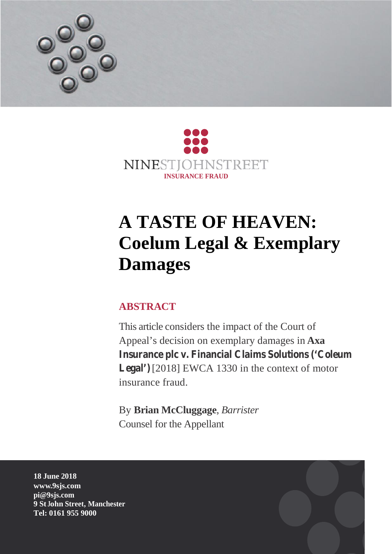



# **A TASTE OF HEAVEN: Coelum Legal & Exemplary Damages**

# **ABSTRACT**

This article considers the impact of the Court of Appeal's decision on exemplary damages in **Axa Insurance plc v. Financial Claims Solutions ('Coleum Legal')**[2018] EWCA 1330 in the context of motor insurance fraud.

By **Brian McCluggage**, *Barrister* Counsel for the Appellant

**18 June 2018 www.9sjs.com pi@9sjs.com 9 St John Street, Manchester Tel: 0161 955 9000**

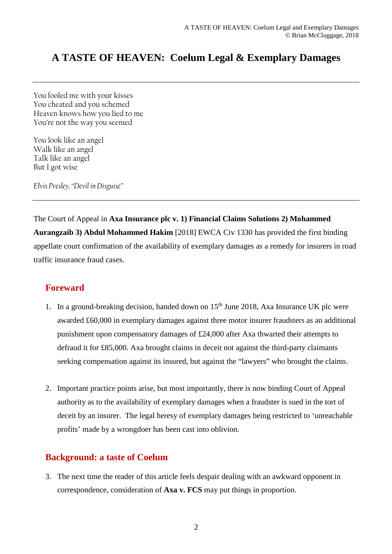## **A TASTE OF HEAVEN: Coelum Legal & Exemplary Damages**

You fooled me with your kisses You cheated and you schemed Heaven knows how you lied to me You're not the way you seemed

You look like an angel Walk like an angel Talk like an angel But I got wise

*Elvis Presley, "Devil in Disguise"*

The Court of Appeal in **Axa Insurance plc v. 1) Financial Claims Solutions 2) Mohammed Aurangzaib 3) Abdul Mohammed Hakim** [2018] EWCA Civ 1330 has provided the first binding appellate court confirmation of the availability of exemplary damages as a remedy for insurers in road traffic insurance fraud cases.

#### **Foreward**

- 1. In a ground-breaking decision, handed down on  $15<sup>th</sup>$  June 2018, Axa Insurance UK plc were awarded £60,000 in exemplary damages against three motor insurer fraudsters as an additional punishment upon compensatory damages of £24,000 after Axa thwarted their attempts to defraud it for £85,000. Axa brought claims in deceit not against the third-party claimants seeking compensation against its insured, but against the "lawyers" who brought the claims.
- 2. Important practice points arise, but most importantly, there is now binding Court of Appeal authority as to the availability of exemplary damages when a fraudster is sued in the tort of deceit by an insurer. The legal heresy of exemplary damages being restricted to 'unreachable profits' made by a wrongdoer has been cast into oblivion.

#### **Background: a taste of Coelum**

3. The next time the reader of this article feels despair dealing with an awkward opponent in correspondence, consideration of **Axa v. FCS** may put things in proportion.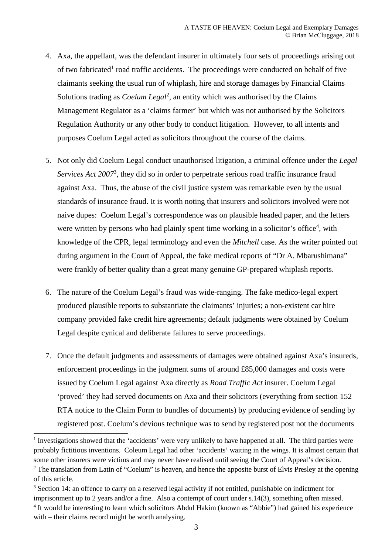- 4. Axa, the appellant, was the defendant insurer in ultimately four sets of proceedings arising out of two fabricated<sup>1</sup> road traffic accidents. The proceedings were conducted on behalf of five claimants seeking the usual run of whiplash, hire and storage damages by Financial Claims Solutions trading as *Coelum Legal*<sup>2</sup>, an entity which was authorised by the Claims Management Regulator as a 'claims farmer' but which was not authorised by the Solicitors Regulation Authority or any other body to conduct litigation. However, to all intents and purposes Coelum Legal acted as solicitors throughout the course of the claims.
- 5. Not only did Coelum Legal conduct unauthorised litigation, a criminal offence under the *Legal Services Act 2007*<sup>3</sup> , they did so in order to perpetrate serious road traffic insurance fraud against Axa. Thus, the abuse of the civil justice system was remarkable even by the usual standards of insurance fraud. It is worth noting that insurers and solicitors involved were not naive dupes: Coelum Legal's correspondence was on plausible headed paper, and the letters were written by persons who had plainly spent time working in a solicitor's office<sup>4</sup>, with knowledge of the CPR, legal terminology and even the *Mitchell* case. As the writer pointed out during argument in the Court of Appeal, the fake medical reports of "Dr A. Mbarushimana" were frankly of better quality than a great many genuine GP-prepared whiplash reports.
- 6. The nature of the Coelum Legal's fraud was wide-ranging. The fake medico-legal expert produced plausible reports to substantiate the claimants' injuries; a non-existent car hire company provided fake credit hire agreements; default judgments were obtained by Coelum Legal despite cynical and deliberate failures to serve proceedings.
- 7. Once the default judgments and assessments of damages were obtained against Axa's insureds, enforcement proceedings in the judgment sums of around £85,000 damages and costs were issued by Coelum Legal against Axa directly as *Road Traffic Act* insurer. Coelum Legal 'proved' they had served documents on Axa and their solicitors (everything from section 152 RTA notice to the Claim Form to bundles of documents) by producing evidence of sending by registered post. Coelum's devious technique was to send by registered post not the documents

<sup>&</sup>lt;sup>1</sup> Investigations showed that the 'accidents' were very unlikely to have happened at all. The third parties were probably fictitious inventions. Coleum Legal had other 'accidents' waiting in the wings. It is almost certain that some other insurers were victims and may never have realised until seeing the Court of Appeal's decision. <sup>2</sup> The translation from Latin of "Coelum" is heaven, and hence the apposite burst of Elvis Presley at the opening of this article.

<sup>&</sup>lt;sup>3</sup> Section 14: an offence to carry on a reserved legal activity if not entitled, punishable on indictment for imprisonment up to 2 years and/or a fine. Also a contempt of court under s.14(3), something often missed. <sup>4</sup> It would be interesting to learn which solicitors Abdul Hakim (known as "Abbie") had gained his experience with – their claims record might be worth analysing.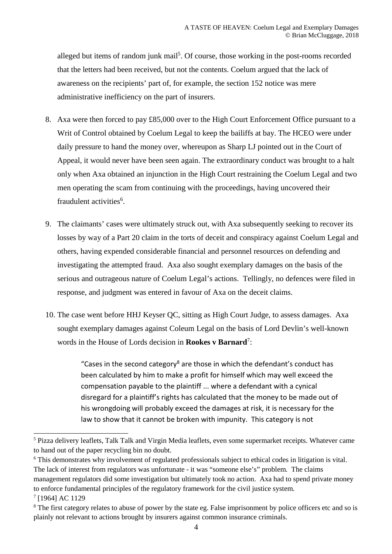alleged but items of random junk mail<sup>5</sup>. Of course, those working in the post-rooms recorded that the letters had been received, but not the contents. Coelum argued that the lack of awareness on the recipients' part of, for example, the section 152 notice was mere administrative inefficiency on the part of insurers.

- 8. Axa were then forced to pay £85,000 over to the High Court Enforcement Office pursuant to a Writ of Control obtained by Coelum Legal to keep the bailiffs at bay. The HCEO were under daily pressure to hand the money over, whereupon as Sharp LJ pointed out in the Court of Appeal, it would never have been seen again. The extraordinary conduct was brought to a halt only when Axa obtained an injunction in the High Court restraining the Coelum Legal and two men operating the scam from continuing with the proceedings, having uncovered their fraudulent activities<sup>6</sup>.
- 9. The claimants' cases were ultimately struck out, with Axa subsequently seeking to recover its losses by way of a Part 20 claim in the torts of deceit and conspiracy against Coelum Legal and others, having expended considerable financial and personnel resources on defending and investigating the attempted fraud. Axa also sought exemplary damages on the basis of the serious and outrageous nature of Coelum Legal's actions. Tellingly, no defences were filed in response, and judgment was entered in favour of Axa on the deceit claims.
- 10. The case went before HHJ Keyser QC, sitting as High Court Judge, to assess damages. Axa sought exemplary damages against Coleum Legal on the basis of Lord Devlin's well-known words in the House of Lords decision in **Rookes v Barnard**<sup>7</sup> :

"Cases in the second category<sup>8</sup> are those in which the defendant's conduct has been calculated by him to make a profit for himself which may well exceed the compensation payable to the plaintiff ... where a defendant with a cynical disregard for a plaintiff's rights has calculated that the money to be made out of his wrongdoing will probably exceed the damages at risk, it is necessary for the law to show that it cannot be broken with impunity. This category is not

<sup>5</sup> Pizza delivery leaflets, Talk Talk and Virgin Media leaflets, even some supermarket receipts. Whatever came to hand out of the paper recycling bin no doubt.

<sup>&</sup>lt;sup>6</sup> This demonstrates why involvement of regulated professionals subject to ethical codes in litigation is vital. The lack of interest from regulators was unfortunate - it was "someone else's" problem. The claims management regulators did some investigation but ultimately took no action. Axa had to spend private money to enforce fundamental principles of the regulatory framework for the civil justice system.

<sup>7</sup> [1964] AC 1129

<sup>&</sup>lt;sup>8</sup> The first category relates to abuse of power by the state eg. False imprisonment by police officers etc and so is plainly not relevant to actions brought by insurers against common insurance criminals.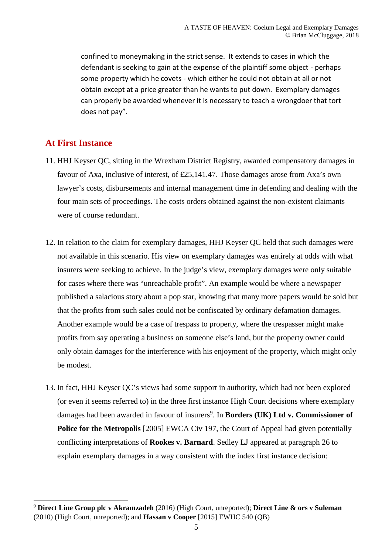confined to moneymaking in the strict sense. It extends to cases in which the defendant is seeking to gain at the expense of the plaintiff some object - perhaps some property which he covets - which either he could not obtain at all or not obtain except at a price greater than he wants to put down. Exemplary damages can properly be awarded whenever it is necessary to teach a wrongdoer that tort does not pay".

#### **At First Instance**

- 11. HHJ Keyser QC, sitting in the Wrexham District Registry, awarded compensatory damages in favour of Axa, inclusive of interest, of £25,141.47. Those damages arose from Axa's own lawyer's costs, disbursements and internal management time in defending and dealing with the four main sets of proceedings. The costs orders obtained against the non-existent claimants were of course redundant.
- 12. In relation to the claim for exemplary damages, HHJ Keyser QC held that such damages were not available in this scenario. His view on exemplary damages was entirely at odds with what insurers were seeking to achieve. In the judge's view, exemplary damages were only suitable for cases where there was "unreachable profit". An example would be where a newspaper published a salacious story about a pop star, knowing that many more papers would be sold but that the profits from such sales could not be confiscated by ordinary defamation damages. Another example would be a case of trespass to property, where the trespasser might make profits from say operating a business on someone else's land, but the property owner could only obtain damages for the interference with his enjoyment of the property, which might only be modest.
- 13. In fact, HHJ Keyser QC's views had some support in authority, which had not been explored (or even it seems referred to) in the three first instance High Court decisions where exemplary damages had been awarded in favour of insurers<sup>9</sup>. In **Borders (UK) Ltd v. Commissioner of Police for the Metropolis** [2005] EWCA Civ 197, the Court of Appeal had given potentially conflicting interpretations of **Rookes v. Barnard**. Sedley LJ appeared at paragraph 26 to explain exemplary damages in a way consistent with the index first instance decision:

<sup>9</sup> **Direct Line Group plc v Akramzadeh** (2016) (High Court, unreported); **Direct Line & ors v Suleman** (2010) (High Court, unreported); and **Hassan v Cooper** [2015] EWHC 540 (QB)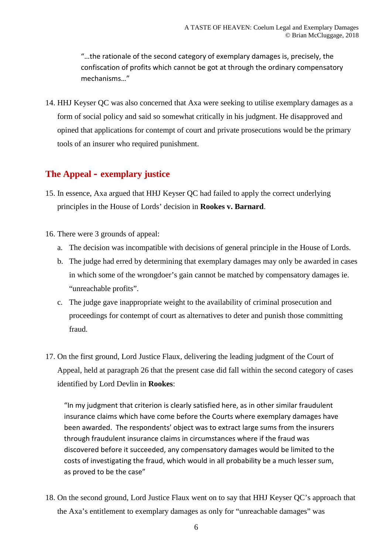"…the rationale of the second category of exemplary damages is, precisely, the confiscation of profits which cannot be got at through the ordinary compensatory mechanisms…"

14. HHJ Keyser QC was also concerned that Axa were seeking to utilise exemplary damages as a form of social policy and said so somewhat critically in his judgment. He disapproved and opined that applications for contempt of court and private prosecutions would be the primary tools of an insurer who required punishment.

## **The Appeal – exemplary justice**

- 15. In essence, Axa argued that HHJ Keyser QC had failed to apply the correct underlying principles in the House of Lords' decision in **Rookes v. Barnard**.
- 16. There were 3 grounds of appeal:
	- a. The decision was incompatible with decisions of general principle in the House of Lords.
	- b. The judge had erred by determining that exemplary damages may only be awarded in cases in which some of the wrongdoer's gain cannot be matched by compensatory damages ie. "unreachable profits".
	- c. The judge gave inappropriate weight to the availability of criminal prosecution and proceedings for contempt of court as alternatives to deter and punish those committing fraud.
- 17. On the first ground, Lord Justice Flaux, delivering the leading judgment of the Court of Appeal, held at paragraph 26 that the present case did fall within the second category of cases identified by Lord Devlin in **Rookes**:

"In my judgment that criterion is clearly satisfied here, as in other similar fraudulent insurance claims which have come before the Courts where exemplary damages have been awarded. The respondents' object was to extract large sums from the insurers through fraudulent insurance claims in circumstances where if the fraud was discovered before it succeeded, any compensatory damages would be limited to the costs of investigating the fraud, which would in all probability be a much lesser sum, as proved to be the case"

18. On the second ground, Lord Justice Flaux went on to say that HHJ Keyser QC's approach that the Axa's entitlement to exemplary damages as only for "unreachable damages" was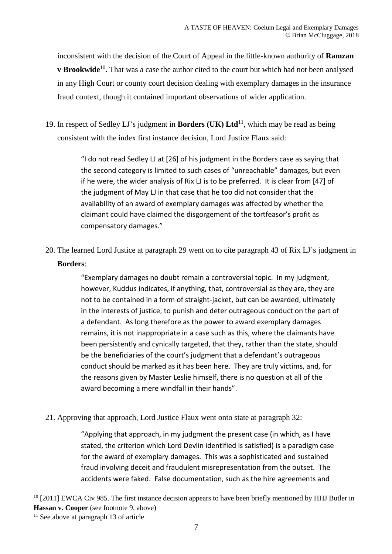inconsistent with the decision of the Court of Appeal in the little-known authority of **Ramzan v Brookwide**<sup>10</sup>. That was a case the author cited to the court but which had not been analysed in any High Court or county court decision dealing with exemplary damages in the insurance fraud context, though it contained important observations of wider application.

19. In respect of Sedley LJ's judgment in **Borders (UK) Ltd**<sup>11</sup>, which may be read as being consistent with the index first instance decision, Lord Justice Flaux said:

> "I do not read Sedley LJ at [26] of his judgment in the Borders case as saying that the second category is limited to such cases of "unreachable" damages, but even if he were, the wider analysis of Rix LJ is to be preferred. It is clear from [47] of the judgment of May LJ in that case that he too did not consider that the availability of an award of exemplary damages was affected by whether the claimant could have claimed the disgorgement of the tortfeasor's profit as compensatory damages."

20. The learned Lord Justice at paragraph 29 went on to cite paragraph 43 of Rix LJ's judgment in **Borders**:

> "Exemplary damages no doubt remain a controversial topic. In my judgment, however, Kuddus indicates, if anything, that, controversial as they are, they are not to be contained in a form of straight-jacket, but can be awarded, ultimately in the interests of justice, to punish and deter outrageous conduct on the part of a defendant. As long therefore as the power to award exemplary damages remains, it is not inappropriate in a case such as this, where the claimants have been persistently and cynically targeted, that they, rather than the state, should be the beneficiaries of the court's judgment that a defendant's outrageous conduct should be marked as it has been here. They are truly victims, and, for the reasons given by Master Leslie himself, there is no question at all of the award becoming a mere windfall in their hands".

21. Approving that approach, Lord Justice Flaux went onto state at paragraph 32:

"Applying that approach, in my judgment the present case (in which, as I have stated, the criterion which Lord Devlin identified is satisfied) is a paradigm case for the award of exemplary damages. This was a sophisticated and sustained fraud involving deceit and fraudulent misrepresentation from the outset. The accidents were faked. False documentation, such as the hire agreements and

<sup>&</sup>lt;sup>10</sup> [2011] EWCA Civ 985. The first instance decision appears to have been briefly mentioned by HHJ Butler in **Hassan v. Cooper** (see footnote 9, above)

 $11$  See above at paragraph 13 of article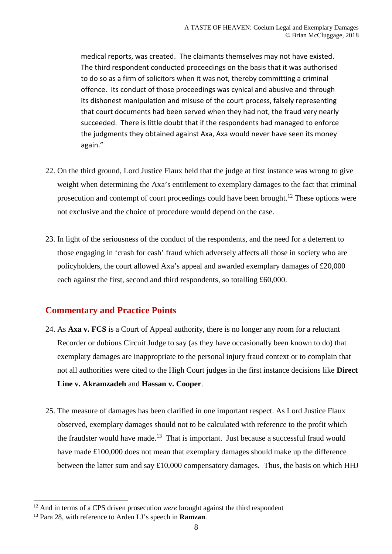medical reports, was created. The claimants themselves may not have existed. The third respondent conducted proceedings on the basis that it was authorised to do so as a firm of solicitors when it was not, thereby committing a criminal offence. Its conduct of those proceedings was cynical and abusive and through its dishonest manipulation and misuse of the court process, falsely representing that court documents had been served when they had not, the fraud very nearly succeeded. There is little doubt that if the respondents had managed to enforce the judgments they obtained against Axa, Axa would never have seen its money again."

- 22. On the third ground, Lord Justice Flaux held that the judge at first instance was wrong to give weight when determining the Axa's entitlement to exemplary damages to the fact that criminal prosecution and contempt of court proceedings could have been brought.<sup>12</sup> These options were not exclusive and the choice of procedure would depend on the case.
- 23. In light of the seriousness of the conduct of the respondents, and the need for a deterrent to those engaging in 'crash for cash' fraud which adversely affects all those in society who are policyholders, the court allowed Axa's appeal and awarded exemplary damages of £20,000 each against the first, second and third respondents, so totalling £60,000.

### **Commentary and Practice Points**

- 24. As **Axa v. FCS** is a Court of Appeal authority, there is no longer any room for a reluctant Recorder or dubious Circuit Judge to say (as they have occasionally been known to do) that exemplary damages are inappropriate to the personal injury fraud context or to complain that not all authorities were cited to the High Court judges in the first instance decisions like **Direct Line v. Akramzadeh** and **Hassan v. Cooper**.
- 25. The measure of damages has been clarified in one important respect. As Lord Justice Flaux observed, exemplary damages should not to be calculated with reference to the profit which the fraudster would have made.<sup>13</sup> That is important. Just because a successful fraud would have made £100,000 does not mean that exemplary damages should make up the difference between the latter sum and say  $\pounds10,000$  compensatory damages. Thus, the basis on which HHJ

<sup>&</sup>lt;sup>12</sup> And in terms of a CPS driven prosecution *were* brought against the third respondent

<sup>13</sup> Para 28, with reference to Arden LJ's speech in **Ramzan**.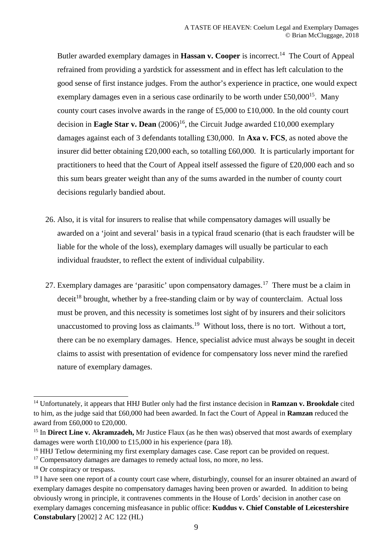Butler awarded exemplary damages in **Hassan v. Cooper** is incorrect.<sup>14</sup> The Court of Appeal refrained from providing a yardstick for assessment and in effect has left calculation to the good sense of first instance judges. From the author's experience in practice, one would expect exemplary damages even in a serious case ordinarily to be worth under £50,000<sup>15</sup>. Many county court cases involve awards in the range of £5,000 to £10,000. In the old county court decision in **Eagle Star v. Dean**  $(2006)^{16}$ , the Circuit Judge awarded £10,000 exemplary damages against each of 3 defendants totalling £30,000. In **Axa v. FCS**, as noted above the insurer did better obtaining £20,000 each, so totalling £60,000. It is particularly important for practitioners to heed that the Court of Appeal itself assessed the figure of £20,000 each and so this sum bears greater weight than any of the sums awarded in the number of county court decisions regularly bandied about.

- 26. Also, it is vital for insurers to realise that while compensatory damages will usually be awarded on a 'joint and several' basis in a typical fraud scenario (that is each fraudster will be liable for the whole of the loss), exemplary damages will usually be particular to each individual fraudster, to reflect the extent of individual culpability.
- 27. Exemplary damages are 'parasitic' upon compensatory damages.<sup>17</sup> There must be a claim in  $\frac{d\sec^{18}}{d\sec^{18}}$  brought, whether by a free-standing claim or by way of counterclaim. Actual loss must be proven, and this necessity is sometimes lost sight of by insurers and their solicitors unaccustomed to proving loss as claimants.<sup>19</sup> Without loss, there is no tort. Without a tort, there can be no exemplary damages. Hence, specialist advice must always be sought in deceit claims to assist with presentation of evidence for compensatory loss never mind the rarefied nature of exemplary damages.

<sup>&</sup>lt;sup>14</sup> Unfortunately, it appears that HHJ Butler only had the first instance decision in **Ramzan v. Brookdale** cited to him, as the judge said that £60,000 had been awarded. In fact the Court of Appeal in **Ramzan** reduced the award from £60,000 to £20,000.

<sup>15</sup> In **Direct Line v. Akramzadeh,** Mr Justice Flaux (as he then was) observed that most awards of exemplary damages were worth £10,000 to £15,000 in his experience (para 18).

<sup>&</sup>lt;sup>16</sup> HHJ Tetlow determining my first exemplary damages case. Case report can be provided on request.

<sup>&</sup>lt;sup>17</sup> Compensatory damages are damages to remedy actual loss, no more, no less.

<sup>&</sup>lt;sup>18</sup> Or conspiracy or trespass.

<sup>&</sup>lt;sup>19</sup> I have seen one report of a county court case where, disturbingly, counsel for an insurer obtained an award of exemplary damages despite no compensatory damages having been proven or awarded. In addition to being obviously wrong in principle, it contravenes comments in the House of Lords' decision in another case on exemplary damages concerning misfeasance in public office: **Kuddus v. Chief Constable of Leicestershire Constabulary** [2002] 2 AC 122 (HL)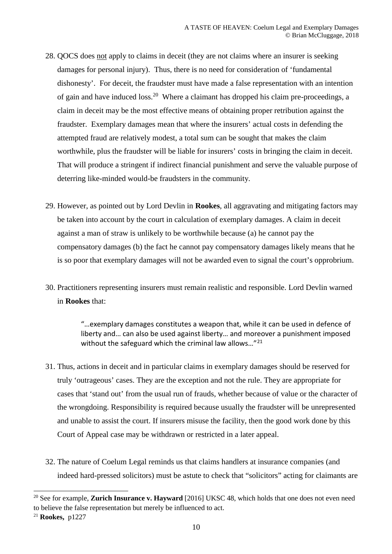- 28. QOCS does not apply to claims in deceit (they are not claims where an insurer is seeking damages for personal injury). Thus, there is no need for consideration of 'fundamental dishonesty'. For deceit, the fraudster must have made a false representation with an intention of gain and have induced loss.<sup>20</sup> Where a claimant has dropped his claim pre-proceedings, a claim in deceit may be the most effective means of obtaining proper retribution against the fraudster. Exemplary damages mean that where the insurers' actual costs in defending the attempted fraud are relatively modest, a total sum can be sought that makes the claim worthwhile, plus the fraudster will be liable for insurers' costs in bringing the claim in deceit. That will produce a stringent if indirect financial punishment and serve the valuable purpose of deterring like-minded would-be fraudsters in the community.
- 29. However, as pointed out by Lord Devlin in **Rookes**, all aggravating and mitigating factors may be taken into account by the court in calculation of exemplary damages. A claim in deceit against a man of straw is unlikely to be worthwhile because (a) he cannot pay the compensatory damages (b) the fact he cannot pay compensatory damages likely means that he is so poor that exemplary damages will not be awarded even to signal the court's opprobrium.
- 30. Practitioners representing insurers must remain realistic and responsible. Lord Devlin warned in **Rookes** that:

"…exemplary damages constitutes a weapon that, while it can be used in defence of liberty and… can also be used against liberty… and moreover a punishment imposed without the safeguard which the criminal law allows..."<sup>21</sup>

- 31. Thus, actions in deceit and in particular claims in exemplary damages should be reserved for truly 'outrageous' cases. They are the exception and not the rule. They are appropriate for cases that 'stand out' from the usual run of frauds, whether because of value or the character of the wrongdoing. Responsibility is required because usually the fraudster will be unrepresented and unable to assist the court. If insurers misuse the facility, then the good work done by this Court of Appeal case may be withdrawn or restricted in a later appeal.
- 32. The nature of Coelum Legal reminds us that claims handlers at insurance companies (and indeed hard-pressed solicitors) must be astute to check that "solicitors" acting for claimants are

<sup>&</sup>lt;sup>20</sup> See for example, **Zurich Insurance v. Hayward** [2016] UKSC 48, which holds that one does not even need to believe the false representation but merely be influenced to act.

<sup>21</sup> **Rookes,** p1227